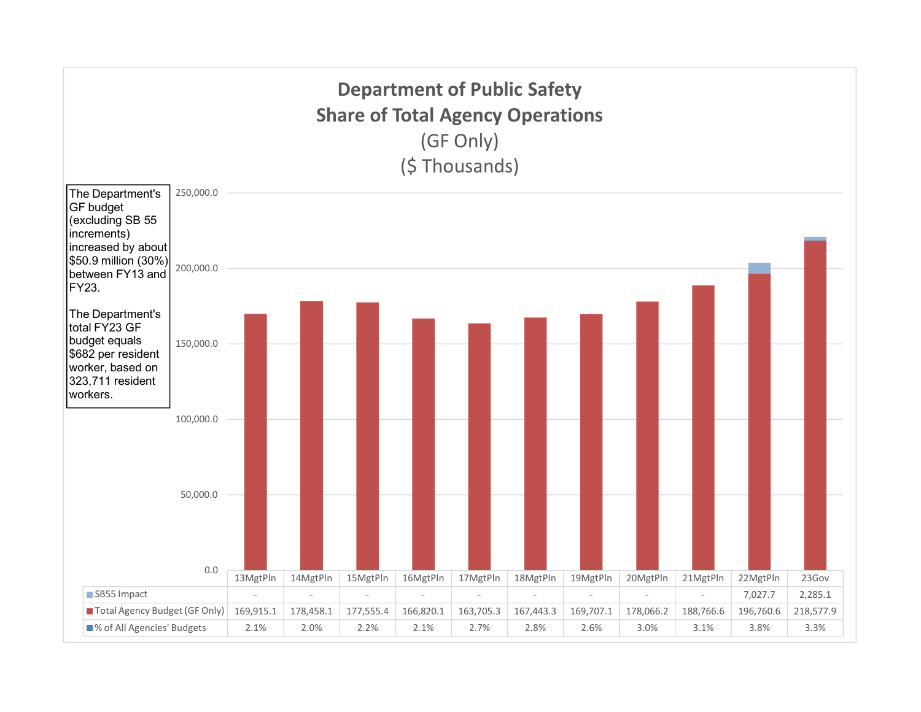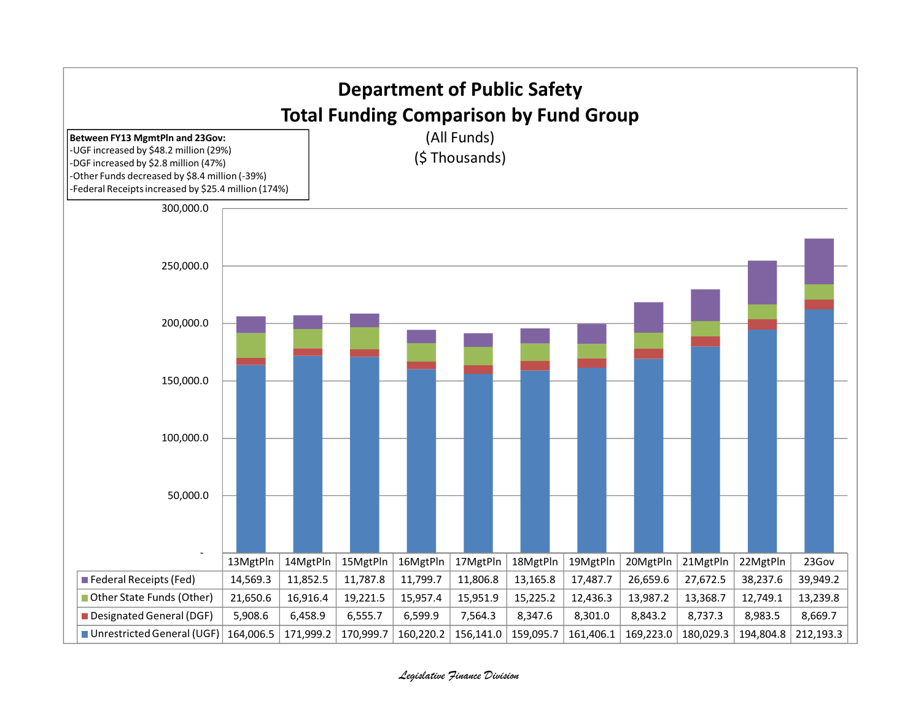